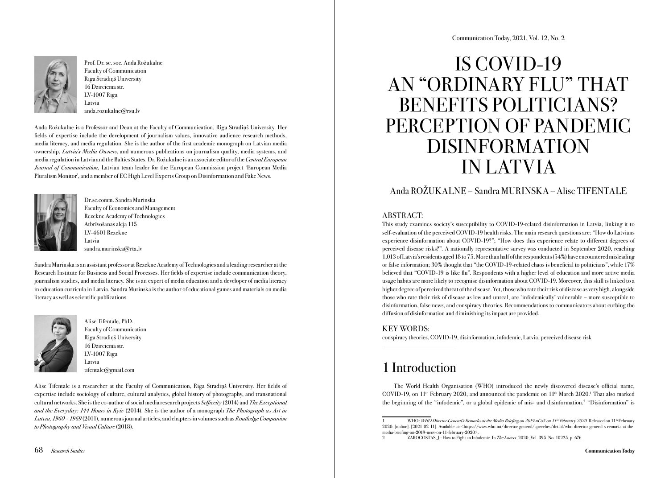

Prof. Dr. sc. soc. Anda Rožukalne Faculty of Communication Riga Stradiņš University 16 Dzirciema str. LV-1007 Riga Latvia anda.rozukalne@rsu.lv

Anda Rožukalne is a Professor and Dean at the Faculty of Communication, Riga Stradiņš University. Her fields of expertise include the development of journalism values, innovative audience research methods, media literacy, and media regulation. She is the author of the first academic monograph on Latvian media ownership, *Latvia's Media Owners*, and numerous publications on journalism quality, media systems, and media regulation in Latvia and the Baltics States. Dr. Rožukalne is an associate editor of the *Central European Journal of Communication*, Latvian team leader for the European Commission project 'European Media Pluralism Monitor', and a member of EC High Level Experts Group on Disinformation and Fake News.



Dr.sc.comm. Sandra Murinska Faculty of Economics and Management Rezekne Academy of Technologies Atbrīvošanas aleja 115 LV-4601 Rezekne Latvia sandra.murinska@rta.lv

Sandra Murinska is an assistant professor at Rezekne Academy of Technologies and a leading researcher at the Research Institute for Business and Social Processes. Her fields of expertise include communication theory, journalism studies, and media literacy. She is an expert of media education and a developer of media literacy in education curricula in Latvia. Sandra Murinska is the author of educational games and materials on media literacy as well as scientific publications.



Alise Tifentale, PhD. Faculty of Communication Riga Stradiņš University 16 Dzirciema str. LV-1007 Riga Latvia tifentale@gmail.com

Alise Tifentale is a researcher at the Faculty of Communication, Riga Stradiņš University. Her fields of expertise include sociology of culture, cultural analytics, global history of photography, and transnational cultural networks. She is the co-author of social media research projects *Selfiecity* (2014) and *The Exceptional and the Everyday: 144 Hours in Kyiv* (2014). She is the author of a monograph *The Photograph as Art in Latvia, 1960 – 1969* (2011), numerous journal articles, and chapters in volumes such as *[Routledge Companion](https://www.routledge.com/The-Routledge-Companion-to-Photography-and-Visual-Culture/Neumuller/p/book/9781138667396) [to Photography and Visual Culture](https://www.routledge.com/The-Routledge-Companion-to-Photography-and-Visual-Culture/Neumuller/p/book/9781138667396)* (2018).

# IS COVID-19 AN "ORDINARY FLU" THAT BENEFITS POLITICIANS? PERCEPTION OF PANDEMIC DISINFORMATION IN LATVIA

### Anda ROŽUKALNE – Sandra MURINSKA – Alise TIFENTALE

### ABSTRACT:

This study examines society's susceptibility to COVID-19-related disinformation in Latvia, linking it to self-evaluation of the perceived COVID-19 health risks. The main research questions are: "How do Latvians experience disinformation about COVID-19?"; "How does this experience relate to different degrees of perceived disease risks?". A nationally representative survey was conducted in September 2020, reaching 1,013 of Latvia's residents aged 18 to 75. More than half of the respondents (54%) have encountered misleading or false information; 30% thought that "the COVID-19-related chaos is beneficial to politicians", while 17% believed that "COVID-19 is like flu". Respondents with a higher level of education and more active media usage habits are more likely to recognise disinformation about COVID-19. Moreover, this skill is linked to a higher degree of perceived threat of the disease. Yet, those who rate their risk of disease as very high, alongside those who rate their risk of disease as low and unreal, are 'infodemically' vulnerable – more susceptible to disinformation, false news, and conspiracy theories. Recommendations to communicators about curbing the diffusion of disinformation and diminishing its impact are provided.

### KEY WORDS:

conspiracy theories, COVID-19, disinformation, infodemic, Latvia, perceived disease risk

# 1 Introduction

The World Health Organisation (WHO) introduced the newly discovered disease's official name, COVID-19, on  $11<sup>th</sup>$  February 2020, and announced the pandemic on  $11<sup>th</sup>$  March 2020.<sup>1</sup> That also marked the beginning of the "infodemic", or a global epidemic of mis- and disinformation.2 "Disinformation" is

WHO: *WHO Director-General's Remarks at the Media Briefing on 2019-nCoV on 11<sup>th</sup> February 2020. Released on 11<sup>th</sup> February* 2020. [online]. [2021-02-11]. Available at: <https://www.who.int/director-general/speeches/detail/who-director-general-s-remarks-at-themedia-briefing-on-2019-ncov-on-11-february-2020>.

<sup>2</sup> ZAROCOSTAS, J.: How to Fight an Infodemic. In *The Lancet*, 2020, Vol. 395, No. 10225, p. 676.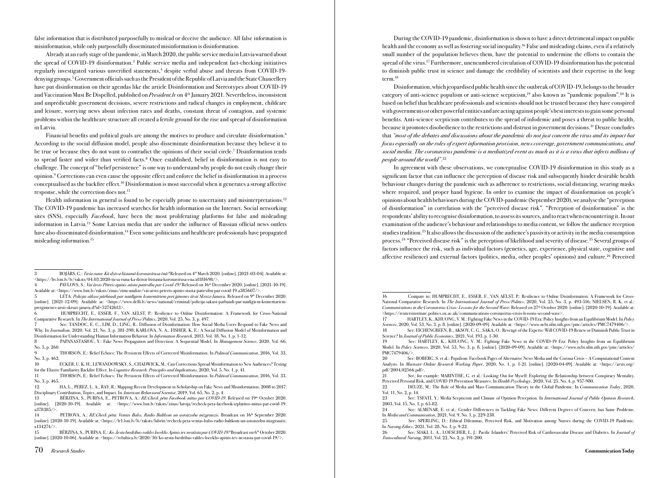false information that is distributed purposefully to mislead or deceive the audience. All false information is misinformation, while only purposefully disseminated misinformation is disinformation.

Already at an early stage of the pandemic, in March 2020, the public service media in Latvia warned about the spread of COVID-19 disinformation.3 Public service media and independent fact-checking initiatives regularly investigated various unverified statements,<sup>4</sup> despite verbal abuse and threats from COVID-19denying groups.5 Government officials such as the President of the Republic of Latvia and the State Chancellery have put disinformation on their agendas like the article Disinformation and Stereotypes about COVID-19 and Vaccination Must Be Dispelled, published on *President.lv* on 4th January 2021. Nevertheless, inconsistent and unpredictable government decisions, severe restrictions and radical changes in employment, childcare and leisure, worrying news about infection rates and deaths, constant threat of contagion, and systemic problems within the healthcare structure all created a fertile ground for the rise and spread of disinformation in Latvia.

Financial benefits and political goals are among the motives to produce and circulate disinformation.6 According to the social diffusion model, people also disseminate disinformation because they believe it to be true or because they do not want to contradict the opinions of their social circle.<sup>7</sup> Disinformation tends to spread faster and wider than verified facts.<sup>8</sup> Once established, belief in disinformation is not easy to challenge. The concept of "belief persistence" is one way to understand why people do not easily change their opinion.9 Corrections can even cause the opposite effect and enforce the belief in disinformation in a process conceptualised as the backfire effect.10 Disinformation is most successful when it generates a strong affective response, while the correction does not.<sup>11</sup>

Health information in general is found to be especially prone to uncertainty and misinterpretations.<sup>12</sup> The COVID-19 pandemic has increased searches for health information on the Internet. Social networking sites (SNS), especially *Facebook*, have been the most proliferating platforms for false and misleading information in Latvia.13 Some Latvian media that are under the influence of Russian official news outlets have also disseminated disinformation.14 Even some politicians and healthcare professionals have propagated misleading information.15

7 See: TANDOC, E. C., LIM, D., LING, R.: Diffusion of Disinformation: How Social Media Users Respond to Fake News and Why. In *Journalism*, 2020, Vol. 21, No. 3, p. 381-398; KARLOVA, N. A., FISHER, K. E.: A Social Diffusion Model of Misinformation and Disinformation for Understanding Human Information Behavior. In *Information Research*, 2013, Vol. 18, No. 1, p. 1-12.

15 BĒRZIŅA, S., PURIŅA, E.: *Ko* Ā*rstu biedr*ī*bas valdes loceklis Apinis tev nest*ā*sta par COVID-19?* Broadcast on 6th October 2020. [online]. [2020-10-06]. Available at: <https://rebaltica.lv/2020/10/ko-arstu-biedribas-valdes-loceklis-apinis-tev-nestasta-par-covid-19/>.

During the COVID-19 pandemic, disinformation is shown to have a direct detrimental impact on public health and the economy as well as fostering social inequality.<sup>16</sup> False and misleading claims, even if a relatively small number of the population believes them, have the potential to undermine the efforts to contain the spread of the virus.17 Furthermore, unencumbered circulation of COVID-19 disinformation has the potential to diminish public trust in science and damage the credibility of scientists and their expertise in the long term.18

Disinformation, which jeopardised public health since the outbreak of COVID-19, belongs to the broader category of anti-science populism or anti-science scepticism,19 also known as "pandemic populism".20 It is based on belief that healthcare professionals and scientists should not be trusted because they have conspired with governments or other powerful entities and are acting against people's best interests to gain some personal benefits. Anti-science scepticism contributes to the spread of infodemic and poses a threat to public health, because it promotes disobedience to the restrictions and distrust in government decisions.21 Deuze concludes that *"most of the debates and discussions about the pandemic do not just concern the virus and its impact but focus especially on the roles of expert information provision, news coverage, government communications, and social media. The coronavirus pandemic is a mediatized event as much as it is a virus that infects millions of people around the world"*. 22

In agreement with these observations, we conceptualise COVID-19 disinformation in this study as a significant factor that can influence the perception of disease risk and subsequently hinder desirable health behaviour changes during the pandemic such as adherence to restrictions, social distancing, wearing masks where required, and proper hand hygiene. In order to examine the impact of disinformation on people's opinions about health behaviours during the COVID-pandemic (September 2020), we analyse the "perception of disinformation" in correlation with the "perceived disease risk". "Perception of disinformation" is the respondents' ability to recognise disinformation, to assess its sources, and to react when encountering it. In our examination of the audience's behaviour and relationships to media content, we follow the audience reception studies tradition.23 It also allows the discussion of the audience's passivity or activity in the media consumption process.24 "Perceived disease risk" is the perception of likelihood and severity of disease.25 Several groups of factors influence the risk, such as individual factors (genetics, age, experience, physical state, cognitive and affective resilience) and external factors (politics, media, other peoples' opinions) and culture.26 Perceived

<sup>3</sup> BOJĀRS, G.: *Tie*š*a runa: K*ā *dz*ī*vot b*ī*stam*ā *koronav*ī*rusa* ē*n*ā*?* Released on 4th March 2020. [online]. [2021-03-04]. Available at: <https://ltv.lsm.lv/lv/raksts/04.03.2020-tiesa-runa-ka-dzivot-bistama-koronavirusa-ena.id181698/>.

<sup>4</sup> PAVLOVS, S.: *Vai* ā*rsts P*ē*teris apinis st*ā*sta paties*ī*bu par Covid-19?* Released on 16th December 2020. [online]. [2021-10-19]. Available at: <https://www.lsm.lv/raksts/zinas/zinu-analize/vai-arsts-peteris-apinis-stasta-patiesibu-par-covid-19.a385607/>.

<sup>5</sup> LETA: *Policija s*ā*kusi p*ā*rbaudi par naid*ī*giem koment*ā*riem pret* ģ*imenes* ā*rsti Skruzi-Janavu*. Released on 9th December 2020. [online]. [2021-12-09]. Available at: <https://www.delfi.lv/news/national/criminal/policija-sakusi-parbaudi-par-naidigiem-komentariempretgimenes-arsti-skruzi-janavu.d?id=52742613>.

<sup>6</sup> HUMPRECHT, E., ESSER, F., VAN AELST, P.: Resilience to Online Disinformation: A Framework for Cross-National Comparative Research. In *The International Journal of Press/Politics*, 2020, Vol. 25, No. 3, p. 497.

<sup>8</sup> PAPANASTASIOU, Y.: Fake News Propagation and Detection: A Sequential Model. In *Management Science*, 2020, Vol. 66, No. 5, p. 260.

<sup>9</sup> THORSON, E.: Belief Echoes: The Persistent Effects of Corrected Misinformation. In *Political Communication*, 2016, Vol. 33, No. 3, p. 462.

<sup>10</sup> ECKER, U. K. H., LEWANDOWSKY, S., CHADWICK, M.: Can Corrections Spread Misinformation to New Audiences? Testing for the Elusive Familiarity Backfire Effect. In *Cognitive Research: Principles and Implications*, 2020, Vol. 5, No. 1, p. 41.

<sup>11</sup> THORSON, E.: Belief Echoes: The Persistent Effects of Corrected Misinformation. In *Political Communication*, 2016, Vol. 33, No. 3, p. 465.

<sup>12</sup> HA, L., PEREZ, L. A., RAY, R.: Mapping Recent Development in Scholarship on Fake News and Misinformation, 2008 to 2017: Disciplinary Contribution, Topics, and Impact. In *American Behavioral Scientist*, 2019, Vol. 65*,* No. 2, p. 4.

<sup>13</sup> BĒRZIŅA, S., PURIŅA, E., PETROVA, A.: *RE:Check p*ē*ta Facebook m*ī*tus par COVID-19*. Released on 19th October 2020. [online]. [2020-10-19]. Available at: <https://www.lsm.lv/raksts/zinas/latvija/recheck-peta-facebook-izplatitos-mitus-par-covid-19. a378385/>.

<sup>14</sup> PETROVA, A.: *RE:Check p*ē*ta: Ventas Balss, Radio Baltkom un asto*ņ*zobu mizgrauzis.* Broadcast on 16th September 2020. [online]. [2020-10-19]. Available at: <https://lr1.lsm.lv/lv/raksts/labriit/recheck-peta-ventas-balss-radio-baltkom-un-astonzobu-mizgrauzis. a134274/>.

<sup>16</sup> Compare to: HUMPRECHT, E., ESSER, F., VAN AELST, P.: Resilience to Online Disinformation: A Framework for Cross-National Comparative Research. In *The International Journal of Press/Politics*, 2020, Vol. 25, No. 3, p. 493-516; NIELSEN, R. K. et al.: *Communications in the Coronavirus Crisis: Lessons for the Second Wave.* Released on 27<sup>th</sup> October 2020. [online]. [2020-10-19]. Available at: <https://reutersinstitute.politics.ox.ac.uk/communications-coronavirus-crisis-lessons-second-wave>.

<sup>17</sup> HARTLEY, K., KHUONG, V. M.: Fighting Fake News in the COVID-19 Era: Policy Insights from an Equilibrium Model. In *Policy Sciences*, 2020, Vol. 53, No. 3, p. 8. [online]. [2020-09-09]. Available at: <https://www.ncbi.nlm.nih.gov/pmc/articles/PMC7479406/>.

<sup>18</sup> See: EICHENGREEN, B., AKSOY, C. G., SAKA, O.: Revenge of the Experts: Will COVID-19 Renew or Diminish Public Trust in Science? In *Journal of Public Economics*, 2021, Vol. 193, p. 1-30.

<sup>19</sup> See: HARTLEY, K., KHUONG, V. M.: Fighting Fake News in the COVID-19 Era: Policy Insights from an Equilibrium Model. In *Policy Sciences*, 2020, Vol. 53, No. 3, p. 8. [online]. [2020-09-09]. Available at: <https://www.ncbi.nlm.nih.gov/pmc/articles/ PMC7479406/>.

<sup>20</sup> See: BOBERG, S. et al.: Populism: Facebook Pages of Alternative News Media and the Corona Crisis – A Computational Content Analysis. In *Muenster Online Research Working Paper*, 2020, No. 1, p. 1-21. [online]. [2020-04-09]. Available at: <https://arxiv.org/ pdf/2004.02566.pdf>.

<sup>21</sup> See, for example: MARINTHE, G. et al.: Looking Out for Myself: Exploring the Relationship between Conspiracy Mentality, Perceived Personal Risk, and COVID19 Prevention Measures. In *Health Psychology*, 2020, Vol. 25, No. 4, p. 957-980.

<sup>22</sup> DEUZE, M.: The Role of Media and Mass Communication Theory in the Global Pandemic. In *Communication Today*, 2020, Vol. 11, No. 2, p. 14.

<sup>23</sup> See: TSFATI, Y.: Media Scepticism and Climate of Opinion Perception. In *International Journal of Public Opinion Research*, 2003, Vol. 15, No. 1, p. 65-82.<br>24 See: ALMENAR

<sup>24</sup> See: ALMENAR, E. et al.: Gender Differences in Tackling Fake News: Different Degrees of Concern, but Same Problems. In *Media and Communication*, 2021, Vol. 9, No. 1, p. 229-238.

<sup>25</sup> See: SPERLING, D.: Ethical Dilemmas, Perceived Risk, and Motivation among Nurses during the COVID-19 Pandemic. In *Nursing Ethics*, 2021, Vol. 28, No. 1, p. 9-22.

<sup>26</sup> See: SIAKI, L. A., LOESCHER, L. J.: Pacific Islanders' Perceived Risk of Cardiovascular Disease and Diabetes. In *Journal of Transcultural Nursing*, 2011, Vol. 22, No. 2, p. 191-200.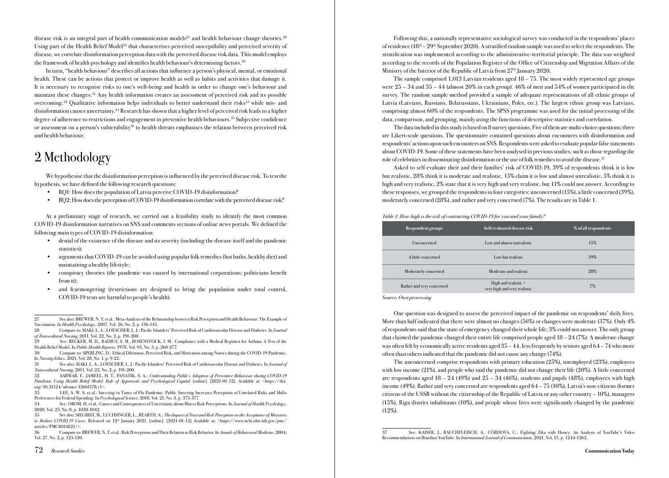disease risk is an integral part of health communication models<sup>27</sup> and health behaviour change theories.<sup>28</sup> Using part of the Health Belief Model29 that characterises perceived susceptibility and perceived severity of disease, we correlate disinformation perception data with the perceived disease risk data. This model employs the framework of health psychology and identifies health behaviour's determining factors.30

In turn, "health behaviour" describes all actions that influence a person's physical, mental, or emotional health. These can be actions that protect or improve health as well as habits and activities that damage it. It is necessary to recognise risks to one's well-being and health in order to change one's behaviour and maintain these changes.31 Any health information creates an assessment of perceived risk and its possible overcoming.<sup>32</sup> Qualitative information helps individuals to better understand their risks<sup>33</sup> while mis- and disinformation causes uncertainty.34 Research has shown that a higher level of perceived risk leads to a higher degree of adherence to restrictions and engagement in preventive health behaviours.35 Subjective confidence or assessment on a person's vulnerability<sup>36</sup> to health threats emphasises the relation between perceived risk and health behaviour.

# 2 Methodology

We hypothesise that the disinformation perception is influenced by the perceived disease risk. To test the hypothesis, we have defined the following research questions:

- RQ1: How does the population of Latvia perceive COVID-19 disinformation?
- RQ2: How does the perception of COVID-19 disinformation correlate with the perceived disease risk?

At a preliminary stage of research, we carried out a feasibility study to identify the most common COVID-19 disinformation narratives on SNS and comments sections of online news portals. We defined the following main types of COVID-19 disinformation:

- denial of the existence of the disease and its severity (including the disease itself and the pandemic statistics);
- arguments that COVID-19 can be avoided using popular folk remedies (hot baths, healthy diet) and maintaining a healthy lifestyle;
- conspiracy theories (the pandemic was caused by international corporations; politicians benefit from it);
- and fearmongering (restrictions are designed to bring the population under total control, COVID-19 tests are harmful to people's health).

36 Compare to: BREWER, N. T. et al.: Risk Perceptions and Their Relation to Risk Behavior. In *Annals of Behavioral Medicine*, 2004, Vol. 27, No. 2, p. 125-130.

Following this, a nationally representative sociological survey was conducted in the respondents' places of residence  $(18<sup>th</sup> – 29<sup>th</sup> September 2020)$ . A stratified random sample was used to select the respondents. The stratification was implemented according to the administrative-territorial principle. The data was weighted according to the records of the Population Register of the Office of Citizenship and Migration Affairs of the Ministry of the Interior of the Republic of Latvia from  $27<sup>th</sup>$  January 2020.

The sample comprised 1,013 Latvian residents aged 18 – 75. The most widely represented age groups were 25 – 34 and 35 – 44 (almost 20% in each group). 46% of men and 54% of women participated in the survey. The random sample method provided a sample of adequate representations of all ethnic groups of Latvia (Latvians, Russians, Belarussians, Ukrainians, Poles, etc.). The largest ethnic group was Latvians, comprising almost 60% of the respondents. The SPSS programme was used for the initial processing of the data, comparison, and grouping, mainly using the functions of descriptive statistics and correlation.

The data included in this study is based on 8 survey questions. Five of them are multi-choice questions; three are Likert-scale questions. The questionnaire contained questions about encounters with disinformation and respondents' actions upon such encounters on SNS. Respondents were asked to evaluate popular false statements about COVID-19. Some of these statements have been analysed in previous studies, such as those regarding the role of celebrities in disseminating disinformation or the use of folk remedies to avoid the disease.<sup>37</sup>

Asked to self-evaluate their and their families' risk of COVID-19, 39% of respondents think it is low but realistic, 28% think it is moderate and realistic, 15% claim it is low and almost unrealistic, 5% think it is high and very realistic, 2% state that it is very high and very realistic, but 11% could not answer. According to these responses, we grouped the respondents in four categories: unconcerned (15%), a little concerned (39%), moderately concerned (28%), and rather and very concerned (7%). The results are in Table 1.

#### *Table 1: How high is the risk of contracting COVID-19 for you and your family?*

| Respondent groups         | Self-evaluated disease risk                          | % of all respondents |
|---------------------------|------------------------------------------------------|----------------------|
| Unconcerned               | Low and almost unrealistic                           | 15%                  |
| A little concerned        | Low but realistic                                    | 39%                  |
| Moderately concerned      | Moderate and realistic                               | 28%                  |
| Rather and very concerned | High and realistic +<br>very high and very realistic | $7\%$                |

*Source: Own processing*

One question was designed to assess the perceived impact of the pandemic on respondents' daily lives. More than half indicated that there were almost no changes (56%) or changes were moderate (37%). Only 4% of respondents said that the state of emergency changed their whole life; 3% could not answer. The only group that claimed the pandemic changed their entire life comprised people aged 18 – 24 (7%). A moderate change was often felt by economically active residents aged 35 – 44, less frequently by seniors aged 64 – 74 who more often than others indicated that the pandemic did not cause any change (74%).

The unconcerned comprise respondents with primary education (25%), unemployed (23%), employees with low income (21%), and people who said the pandemic did not change their life (20%). A little concerned are respondents aged  $18 - 24$  (49%) and  $25 - 34$  (46%), students and pupils (48%), employees with high income (49%). Rather and very concerned are respondents aged 64 – 75 (10%), Latvia's non-citizens (former citizens of the USSR without the citizenship of the Republic of Latvia or any other country – 10%), managers (15%), Riga district inhabitants (10%), and people whose lives were significantly changed by the pandemic (12%).

<sup>27</sup> See also: BREWER, N. T. et al.: Meta-Analysis of the Relationship between Risk Perception and Health Behaviour: The Example of Vaccination. In *Health Psychology*, 2007, Vol. 26, No. 2, p. 136-145.

<sup>28</sup> Compare to: SIAKI, L. A., LOESCHER, L. J.: Pacific Islanders' Perceived Risk of Cardiovascular Disease and Diabetes. In *Journal of Transcultural Nursing*, 2011, Vol. 22, No. 2, p. 191-200.

<sup>29</sup> See: BECKER, M. H., RADIUS, S. M., ROSENSTOCK, I. M.: Compliance with a Medical Regimen for Asthma: A Test of the Health Belief Model. In *Public Health Reports*, 1978, Vol. 93, No. 3, p. 268-277.

<sup>30</sup> Compare to: SPERLING, D.: Ethical Dilemmas, Perceived Risk, and Motivation among Nurses during the COVID-19 Pandemic. In *Nursing Ethics*, 2021, Vol. 28, No. 1, p. 9-22.

<sup>31</sup> See also: SIAKI, L. A., LOESCHER, L. J.: Pacific Islanders' Perceived Risk of Cardiovascular Disease and Diabetes. In *Journal of Transcultural Nursing*, 2011, Vol. 22, No. 2, p. 191-200.

<sup>32</sup> SARWAR, F., JAMEEL, H. T., PANATIK, S. A.: *Understanding Public's Adoption of Preventive Behaviour during COVID-19 Pandemic Using Health Belief Model: Role of Appraisals and Psychological Capital*. [online]. [2021-01-12]. Available at: <https://doi. org/10.31124/advance.12661178.v1>.

<sup>33</sup> LEE, S. W. S. et al.: Sneezing in Times of Flu Pandemic: Public Sneezing Increases Perception of Unrelated Risks and Shifts Preferences for Federal Spending. In *Psychological Science*, 2010, Vol. 21, No. 3, p. 375-377.

<sup>34</sup> See: OROM, H. et al.: Causes and Consequences of Uncertainty about Illness Risk Perceptions. In *Journal of Health Psychology*, 2020, Vol. 25, No. 8, p. 1030-1042.

<sup>35</sup> See also: SIEGRIST, M., LUCHSINGER, L., BEARTH, A.: *The Impact of Trust and Risk Perception on the Acceptance of Measures to Reduce COVID19 Cases*. Released on 12<sup>th</sup> January 2021. [online]. [2021-01-12] Available at: <https://www.ncbi.nlm.nih.gov/pmc/ articles/PMC8014821/>.

<sup>37</sup> See: KAISER, J., RAUCHFLEISCH, A., CÓRDOVA, C.: Fighting Zika with Honey: An Analysis of YouTube's Video Recommendations on Brazilian YouTube. In *International Journal of Communication*, 2021, Vol. 15, p. 1244-1262.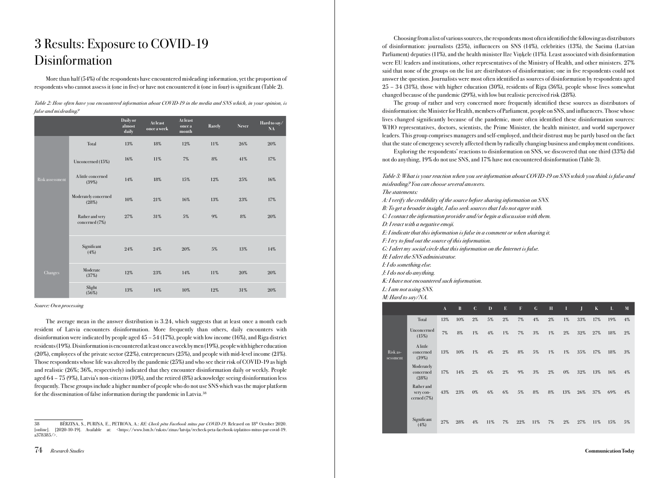# 3 Results: Exposure to COVID-19 **Disinformation**

More than half (54%) of the respondents have encountered misleading information, yet the proportion of respondents who cannot assess it (one in five) or have not encountered it (one in four) is significant (Table 2).

| Table 2: How often have you encountered information about COVID-19 in the media and SNS which, in your opinion, is |  |
|--------------------------------------------------------------------------------------------------------------------|--|
| false and misleading?                                                                                              |  |

|                        |                                   | Daily or<br>almost<br>daily | <b>At least</b><br>once a week | <b>At least</b><br>once a<br>month | Rarely | <b>Never</b> | Hard to say/<br>NA |
|------------------------|-----------------------------------|-----------------------------|--------------------------------|------------------------------------|--------|--------------|--------------------|
|                        | Total                             | 13%                         | 18%                            | 12%                                | 11%    | 26%          | 20%                |
|                        | Unconcerned (15%)                 | 16%                         | 11%                            | 7%                                 | 8%     | 41%          | 17%                |
| <b>Risk assessment</b> | A little concerned<br>(39%)       | 14%                         | 18%                            | 15%                                | 12%    | 25%          | 16%                |
|                        | Moderately concerned<br>(28%)     | 10%                         | 21%                            | 16%                                | 13%    | 23%          | 17%                |
|                        | Rather and very<br>concerned (7%) | $27\%$                      | 31%                            | 5%                                 | 9%     | 8%           | 20%                |
|                        | Significant<br>(4%)               | 24%                         | 24%                            | 20%                                | 5%     | 13%          | 14%                |
| Changes                | Moderate<br>(37%)                 | 12%                         | 23%                            | 14%                                | 11%    | 20%          | 20%                |
|                        | Slight<br>(56%)                   | 13%                         | 14%                            | 10%                                | 12%    | 31%          | 20%                |

#### *Source: Own processing*

The average mean in the answer distribution is 3.24, which suggests that at least once a month each resident of Latvia encounters disinformation. More frequently than others, daily encounters with disinformation were indicated by people aged 45 – 54 (17%), people with low income (16%), and Riga district residents (19%). Disinformation is encountered at least once a week by men (19%), people with higher education (20%), employees of the private sector (22%), entrepreneurs (25%), and people with mid-level income (21%). Those respondents whose life was altered by the pandemic (25%) and who see their risk of COVID-19 as high and realistic (26%; 36%, respectively) indicated that they encounter disinformation daily or weekly. People aged 64 – 75 (9%), Latvia's non-citizens (10%), and the retired (8%) acknowledge seeing disinformation less frequently. These groups include a higher number of people who do not use SNS which was the major platform for the dissemination of false information during the pandemic in Latvia.<sup>38</sup>

Choosing from a list of various sources, the respondents most often identified the following as distributors of disinformation: journalists (25%), influencers on SNS (14%), celebrities (13%), the Saeima (Latvian Parliament) deputies (11%), and the health minister Ilze Viņķele (11%). Least associated with disinformation were EU leaders and institutions, other representatives of the Ministry of Health, and other ministers. 27% said that none of the groups on the list are distributors of disinformation; one in five respondents could not answer the question. Journalists were most often identified as sources of disinformation by respondents aged 25 – 34 (31%), those with higher education (30%), residents of Riga (36%), people whose lives somewhat changed because of the pandemic (29%), with low but realistic perceived risk (28%).

The group of rather and very concerned more frequently identified these sources as distributors of disinformation: the Minister for Health, members of Parliament, people on SNS, and influencers. Those whose lives changed significantly because of the pandemic, more often identified these disinformation sources: WHO representatives, doctors, scientists, the Prime Minister, the health minister, and world superpower leaders. This group comprises managers and self-employed, and their distrust may be partly based on the fact that the state of emergency severely affected them by radically changing business and employment conditions.

Exploring the respondents' reactions to disinformation on SNS, we discovered that one third (33%) did not do anything, 19% do not use SNS, and 17% have not encountered disinformation (Table 3).

*Table 3: What is your reaction when you see information about COVID-19 on SNS which you think is false and misleading? You can choose several answers. The statements: A: I verify the credibility of the source before sharing information on SNS. B: To get a broader insight, I also seek sources that I do not agree with. C: I contact the information provider and/or begin a discussion with them. D: I react with a negative emoji. E: I indicate that this information is false in a comment or when sharing it. F: I try to find out the source of this information. G: I alert my social circle that this information on the Internet is false. H: I alert the SNS administrator. I: I do something else. J: I do not do anything. K: I have not encountered such information. L: I am not using SNS. M: Hard to say/NA.* A B C D E F G H I J K L M Total 13% 10% 2% 5% 2% 7% 4% 2% 1% 33% 17% 19% 4% Unconcerned

|                      | <b>CHCOHCCLHCG</b><br>(15%)              | 7%  | 8%  | 1%    | $4\%$ | 1%    | $7\%$ | 3%  | 1%    | $2\%$ | 32% | 27% | 18% | $2\%$ |
|----------------------|------------------------------------------|-----|-----|-------|-------|-------|-------|-----|-------|-------|-----|-----|-----|-------|
| Risk as-<br>sessment | A little<br>concerned<br>(39%)           | 13% | 10% | 1%    | $4\%$ | $2\%$ | 8%    | 5%  | 1%    | 1%    | 35% | 17% | 18% | 3%    |
|                      | Moderately<br>concerned<br>(28%)         | 17% | 14% | $2\%$ | 6%    | $2\%$ | 9%    | 3%  | $2\%$ | $0\%$ | 32% | 13% | 16% | $4\%$ |
|                      | Rather and<br>very con-<br>cerned $(7%)$ | 43% | 23% | $0\%$ | 6%    | 6%    | 5%    | 8%  | 8%    | 13%   | 26% | 37% | 69% | $4\%$ |
|                      | Significant<br>(4%)                      | 27% | 28% | 4%    | 11%   | 7%    | 22%   | 11% | 7%    | $2\%$ | 27% | 11% | 15% | 5%    |

<sup>38</sup> BĒRZIŅA, S., PURIŅA, E., PETROVA, A.: *RE: Check p*ē*ta Facebook m*ī*tus par COVID-19*. Released on 18th October 2020. [online]. [2020-10-19]. Available at: <https://www.lsm.lv/raksts/zinas/latvija/recheck-peta-facebook-izplatitos-mitus-par-covid-19. a378385/>.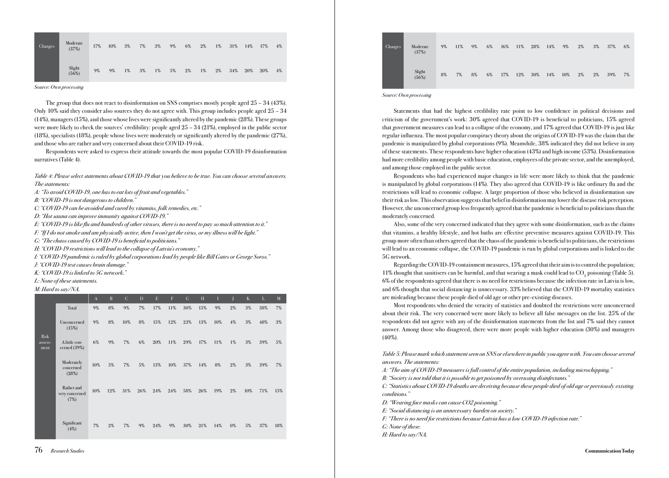| Changes | Moderate<br>(37%)  | 17% | 10% | $3\%$ | 7% | $3\%$ | 9% | 6%    | $2\%$ | $1\%$ | 31% | 14% | 17% | $4\%$ |
|---------|--------------------|-----|-----|-------|----|-------|----|-------|-------|-------|-----|-----|-----|-------|
|         | Slight<br>$(56\%)$ | 9%  | 9%  | $1\%$ | 3% | $1\%$ | 5% | $2\%$ | 1%    | $2\%$ | 34% | 20% | 20% | $4\%$ |

*Source: Own processing*

The group that does not react to disinformation on SNS comprises mostly people aged  $25 - 34 (43%)$ . Only 10% said they consider also sources they do not agree with. This group includes people aged 25 – 34 (14%), managers (15%), and those whose lives were significantly altered by the pandemic (28%). These groups were more likely to check the sources' credibility: people aged 25 – 34 (21%), employed in the public sector (18%), specialists (18%), people whose lives were moderately or significantly altered by the pandemic (27%), and those who are rather and very concerned about their COVID-19 risk.

Respondents were asked to express their attitude towards the most popular COVID-19 disinformation narratives (Table 4).

*Table 4: Please select statements about COVID-19 that you believe to be true. You can choose several answers. The statements:* 

*A: "To avoid COVID-19, one has to eat lots of fruit and vegetables."*

*B: "COVID-19 is not dangerous to children."*

*C: "COVID-19 can be avoided and cured by vitamins, folk remedies, etc."* 

*D: "Hot sauna can improve immunity against COVID-19."*

*E: "COVID-19 is like flu and hundreds of other viruses, there is no need to pay so much attention to it."*

*F: "If I do not smoke and am physically active, then I won't get the virus, or my illness will be light."* 

*G: "The chaos caused by COVID-19 is beneficial to politicians."* 

*H: "COVID-19 restrictions will lead to the collapse of Latvia's economy."* 

*I: "COVID-19 pandemic is ruled by global corporations lead by people like Bill Gates or George Soros."*

*J: "COVID-19 test causes brain damage."* 

*K: "COVID-19 is linked to 5G network."* 

*L: None of these statements.* 

*M: Hard to say/NA.*

|                         |                                      | $\mathbf{A}$ | $\mathbf{B}$ | $\mathcal{C}$ | D   | E   | $\boldsymbol{\mathrm{F}}$ | $\mathcal G$ | H   | П     |       | K     | L   | M     |
|-------------------------|--------------------------------------|--------------|--------------|---------------|-----|-----|---------------------------|--------------|-----|-------|-------|-------|-----|-------|
|                         | Total                                | 9%           | 8%           | 9%            | 7%  | 17% | 11%                       | 30%          | 15% | 9%    | $2\%$ | $3\%$ | 38% | $7\%$ |
|                         | Unconcerned<br>(15%)                 | 9%           | 8%           | 10%           | 8%  | 15% | 12%                       | 23%          | 13% | 10%   | $4\%$ | 3%    | 48% | $3\%$ |
| Risk<br>assess-<br>ment | A little con-<br>cerned $(39\%)$     | 6%           | 9%           | $7\%$         | 6%  | 20% | 11%                       | 29%          | 17% | 11%   | $1\%$ | $3\%$ | 39% | 5%    |
|                         | Moderately<br>concerned<br>(28%)     | 10%          | $5\%$        | $7\%$         | 5%  | 13% | 10%                       | 37%          | 14% | $8\%$ | $2\%$ | $3\%$ | 39% | 7%    |
|                         | Rather and<br>very concerned<br>(7%) | 10%          | 12%          | 31%           | 26% | 24% | 24%                       | 58%          | 26% | 19%   | $2\%$ | 10%   | 71% | 15%   |
|                         | Significant<br>$(4\%)$               | 7%           | $2\%$        | $7\%$         | 9%  | 24% | 9%                        | 30%          | 21% | 14%   | $0\%$ | $5\%$ | 37% | 18%   |



*Source: Own processing*

Statements that had the highest credibility rate point to low confidence in political decisions and criticism of the government's work: 30% agreed that COVID-19 is beneficial to politicians, 15% agreed that government measures can lead to a collapse of the economy, and 17% agreed that COVID-19 is just like regular influenza. The most popular conspiracy theory about the origins of COVID-19 was the claim that the pandemic is manipulated by global corporations (9%). Meanwhile, 38% indicated they did not believe in any of these statements. These respondents have higher education (43%) and high income (53%). Disinformation had more credibility among people with basic education, employees of the private sector, and the unemployed, and among those employed in the public sector.

Respondents who had experienced major changes in life were more likely to think that the pandemic is manipulated by global corporations (14%). They also agreed that COVID-19 is like ordinary flu and the restrictions will lead to economic collapse. A large proportion of those who believed in disinformation saw their risk as low. This observation suggests that belief in disinformation may lower the disease risk perception. However, the unconcerned group less frequently agreed that the pandemic is beneficial to politicians than the moderately concerned.

Also, some of the very concerned indicated that they agree with some disinformation, such as the claims that vitamins, a healthy lifestyle, and hot baths are effective preventive measures against COVID-19. This group more often than others agreed that the chaos of the pandemic is beneficial to politicians, the restrictions will lead to an economic collapse, the COVID-19 pandemic is run by global corporations and is linked to the 5G network.

Regarding the COVID-19 containment measures, 15% agreed that their aim is to control the population; 11% thought that sanitisers can be harmful, and that wearing a mask could lead to  $\mathrm{CO}_2$  poisoning (Table 5). 6% of the respondents agreed that there is no need for restrictions because the infection rate in Latvia is low, and 6% thought that social distancing is unnecessary. 33% believed that the COVID-19 mortality statistics are misleading because these people died of old age or other pre-existing diseases.

Most respondents who denied the veracity of statistics and doubted the restrictions were unconcerned about their risk. The very concerned were more likely to believe all false messages on the list. 25% of the respondents did not agree with any of the disinformation statements from the list and 7% said they cannot answer. Among those who disagreed, there were more people with higher education (30%) and managers (40%).

*Table 5: Please mark which statement seen on SNS or elsewhere in public you agree with. You can choose several answers. The statements:* 

*A: "The aim of COVID-19 measures is full control of the entire population, including microchipping."*

*B: "Society is not told that it is possible to get poisoned by overusing disinfectants."*

*C: "Statistics about COVID-19 deaths are deceiving because these people died of old age or previously existing conditions."*

*D: "Wearing face masks can cause CO2 poisoning."*

*E: "Social distancing is an unnecessary burden on society."*

*F: "There is no need for restrictions because Latvia has a low COVID-19 infection rate."*

*G: None of these.*

*H: Hard to say/NA.*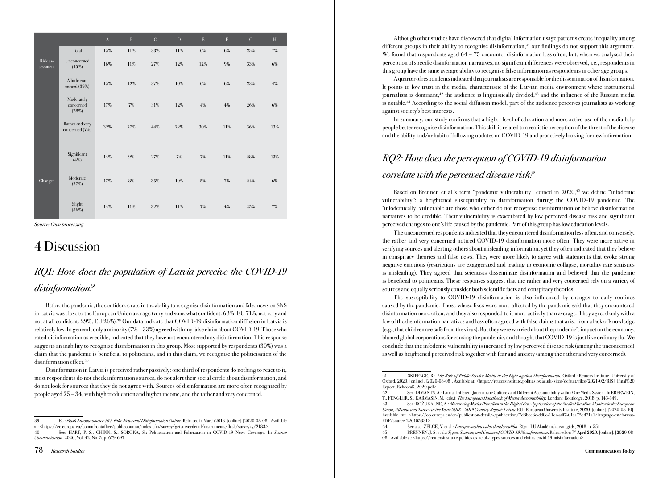|                      |                                   | $\mathbf A$ | $\, {\bf B}$ | ${\bf C}$ | $\mathbf D$ | $\mathbf E$ | $\mathbf F$ | G   | H     |
|----------------------|-----------------------------------|-------------|--------------|-----------|-------------|-------------|-------------|-----|-------|
|                      | Total                             | 15%         | $11\%$       | 33%       | 11%         | $6\%$       | 6%          | 25% | 7%    |
| Risk as-<br>sessment | Unconcerned<br>(15%)              | 16%         | 11%          | 27%       | 12%         | 12%         | 9%          | 33% | 6%    |
|                      | A little con-<br>cerned (39%)     | 15%         | 12%          | 37%       | $10\%$      | $6\%$       | 6%          | 23% | $4\%$ |
|                      | Moderately<br>concerned<br>(28%)  | 17%         | $7\%$        | 31%       | 12%         | $4\%$       | $4\%$       | 26% | 6%    |
|                      | Rather and very<br>concerned (7%) | 32%         | 27%          | 44%       | 22%         | 30%         | 11%         | 36% | 13%   |
|                      | Significant<br>(4%)               | 14%         | 9%           | 27%       | $7\%$       | $7\%$       | 11%         | 28% | 13%   |
| Changes              | Moderate<br>(37%)                 | 17%         | $8\%$        | $35\%$    | 10%         | $5\%$       | $7\%$       | 24% | 6%    |
|                      | Slight<br>$(56\%)$                | 14%         | $11\%$       | $32\%$    | $11\%$      | $7\%$       | $4\%$       | 25% | $7\%$ |

*Source: Own processing* 

# 4 Discussion

### *RQ1: How does the population of Latvia perceive the COVID-19 disinformation?*

Before the pandemic, the confidence rate in the ability to recognise disinformation and false news on SNS in Latvia was close to the European Union average (very and somewhat confident: 68%, EU 71%; not very and not at all confident: 29%, EU 26%).39 Our data indicate that COVID-19 disinformation diffusion in Latvia is relatively low. In general, only a minority (7% – 33%) agreed with any false claim about COVID-19. Those who rated disinformation as credible, indicated that they have not encountered any disinformation. This response suggests an inability to recognise disinformation in this group. Most supported by respondents (30%) was a claim that the pandemic is beneficial to politicians, and in this claim, we recognise the politicisation of the disinformation effect.<sup>40</sup>

Disinformation in Latvia is perceived rather passively: one third of respondents do nothing to react to it, most respondents do not check information sources, do not alert their social circle about disinformation, and do not look for sources that they do not agree with. Sources of disinformation are more often recognised by people aged 25 – 34, with higher education and higher income, and the rather and very concerned.

Although other studies have discovered that digital information usage patterns create inequality among different groups in their ability to recognise disinformation,<sup>41</sup> our findings do not support this argument. We found that respondents aged  $64 - 75$  encounter disinformation less often, but, when we analysed their perception of specific disinformation narratives, no significant differences were observed, i.e., respondents in this group have the same average ability to recognise false information as respondents in other age groups.

A quarter of respondents indicated that journalists are responsible for the dissemination of disinformation. It points to low trust in the media, characteristic of the Latvian media environment where instrumental journalism is dominant, $42$  the audience is linguistically divided, $43$  and the influence of the Russian media is notable.44 According to the social diffusion model, part of the audience perceives journalists as working against society's best interests.

In summary, our study confirms that a higher level of education and more active use of the media help people better recognise disinformation. This skill is related to a realistic perception of the threat of the disease and the ability and/or habit of following updates on COVID-19 and proactively looking for new information.

# *RQ2: How does the perception of COVID-19 disinformation correlate with the perceived disease risk?*

Based on Brennen et al.'s term "pandemic vulnerability" coined in 2020,45 we define "infodemic vulnerability": a heightened susceptibility to disinformation during the COVID-19 pandemic. The 'infodemically' vulnerable are those who either do not recognise disinformation or believe disinformation narratives to be credible. Their vulnerability is exacerbated by low perceived disease risk and significant perceived changes to one's life caused by the pandemic. Part of this group has low education levels.

The unconcerned respondents indicated that they encountered disinformation less often, and conversely, the rather and very concerned noticed COVID-19 disinformation more often. They were more active in verifying sources and alerting others about misleading information, yet they often indicated that they believe in conspiracy theories and false news. They were more likely to agree with statements that evoke strong negative emotions (restrictions are exaggerated and leading to economic collapse, mortality rate statistics is misleading). They agreed that scientists disseminate disinformation and believed that the pandemic is beneficial to politicians. These responses suggest that the rather and very concerned rely on a variety of sources and equally seriously consider both scientific facts and conspiracy theories.

The susceptibility to COVID-19 disinformation is also influenced by changes to daily routines caused by the pandemic. Those whose lives were more affected by the pandemic said that they encountered disinformation more often, and they also responded to it more actively than average. They agreed only with a few of the disinformation narratives and less often agreed with false claims that arise from a lack of knowledge (e.g., that children are safe from the virus). But they were worried about the pandemic's impact on the economy, blamed global corporations for causing the pandemic, and thought that COVID-19 is just like ordinary flu. We conclude that the infodemic vulnerability is increased by low perceived disease risk (among the unconcerned) as well as heightened perceived risk together with fear and anxiety (among the rather and very concerned).

<sup>39</sup> EU: *Flash Eurobarometer 464. Fake News and Disinformation Online*. Released in March 2018. [online]. [2020-08-08]. Available

at: <https://ec.europa.eu/commfrontoffice/publicopinion/index.cfm/survey/getsurveydetail/instruments/flash/surveyky/2183>.<br>40 See: HART P. S. CHINN S. SOROKA S: Politicization and Polarization in COVID-19 News Coverage 40 See: HART, P. S., CHINN, S., SOROKA, S.: Politicization and Polarization in COVID-19 News Coverage. In *Science Communication*, 2020, Vol. 42, No. 5, p. 679-697.

<sup>41</sup> SKIPPAGE, R.: *The Role of Public Service Media in the Fight against Disinformation.* Oxford : Reuters Institute, University of Oxford, 2020. [online]. [2020-08-08]. Available at: <https://reutersinstitute.politics.ox.ac.uk/sites/default/files/2021-02/RISJ\_Final%20 Report\_RebeccaS\_2020.pdf>.

<sup>42</sup> See: DIMANTS, A.: Latvia: Different Journalistic Cultures and Different Accountability within One Media System. In EBERWEIN, T., FENGLER, S., KARMASIN, M. (eds.): *The European Handbook of Media Accountability.* London : Routledge, 2018, p. 143-149.

See: ROŽUKALNE, A.: *Monitoring Media Pluralism in the Digital Era: Application of the Media Pluralism Monitor in the European Union, Albania and Turkey in the Years 2018 – 2019 Country Report: Latvia.* EU : European University Institute, 2020. [online]. [2020-08-10]. Available at: <https://op.europa.eu/en/publication-detail/-/publication/7d8bee8e-dd0c-11ea-adf7-01aa75ed71a1/language-en/format-PDF/source-220105331>.

<sup>44</sup> See also: ZELČE, V. et al.: *Latvijas mediju vides daudzveid*ī*ba*. Rīga : LU Akadēmiskais apgāds, 2018, p. 551.

<sup>45</sup> BRENNEN, J. S. et al.: *Types, Sources, and Claims of COVID-19 Misinformation*. Released on 7th April 2020. [online]. [2020-08- 08]. Available at: <https://reutersinstitute.politics.ox.ac.uk/types-sources-and-claims-covid-19-misinformation>.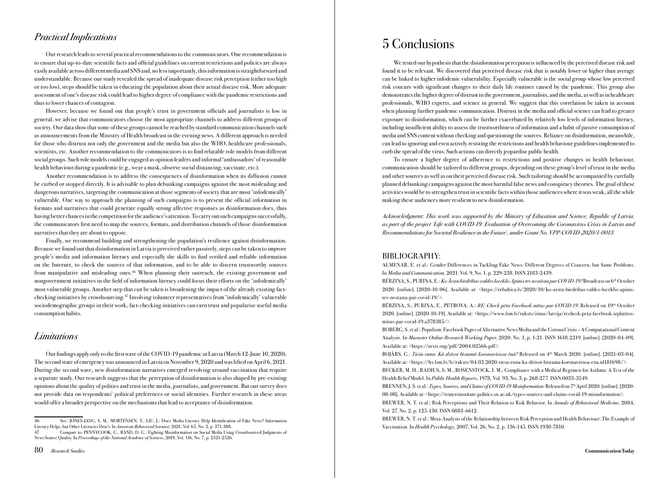### *Practical Implications*

Our research leads to several practical recommendations to the communicators. One recommendation is to ensure that up-to-date scientific facts and official guidelines on current restrictions and policies are always easily available across different media and SNS and, no less importantly, this information is straightforward and understandable. Because our study revealed the spread of inadequate disease risk perception (either too high or too low), steps should be taken in educating the population about their actual disease risk. More adequate assessment of one's disease risk could lead to higher degree of compliance with the pandemic restrictions and thus to lower chances of contagion.

However, because we found out that people's trust in government officials and journalists is low in general, we advise that communicators choose the most appropriate channels to address different groups of society. Our data show that some of these groups cannot be reached by standard communication channels such as announcements from the Ministry of Health broadcast in the evening news. A different approach is needed for those who distrust not only the government and the media but also the WHO, healthcare professionals, scientists, etc. Another recommendation to the communicators is to find relatable role models from different social groups. Such role models could be engaged as opinion leaders and informal 'ambassadors' of reasonable health behaviour during a pandemic (e.g., wear a mask, observe social distancing, vaccinate, etc.).

Another recommendation is to address the consequences of disinformation when its diffusion cannot be curbed or stopped directly. It is advisable to plan debunking campaigns against the most misleading and dangerous narratives, targeting the communication at those segments of society that are most 'infodemically' vulnerable. One way to approach the planning of such campaigns is to present the official information in formats and narratives that could generate equally strong affective responses as disinformation does, thus having better chances in the competition for the audience's attention. To carry out such campaigns successfully, the communicators first need to map the sources, formats, and distribution channels of those disinformation narratives that they are about to oppose.

Finally, we recommend building and strengthening the population's resilience against disinformation. Because we found out that disinformation in Latvia is perceived rather passively, steps can be taken to improve people's media and information literacy and especially the skills to find verified and reliable information on the Internet, to check the sources of that information, and to be able to discern trustworthy sources from manipulative and misleading ones.<sup>46</sup> When planning their outreach, the existing government and nongovernment initiatives in the field of information literacy could focus their efforts on the 'infodemically' most vulnerable groups. Another step that can be taken is broadening the impact of the already existing factchecking initiatives by crowdsourcing.47 Involving volunteer representatives from 'infodemically' vulnerable sociodemographic groups in their work, fact-checking initiatives can earn trust and popularise useful media consumption habits.

### *Limitations*

Our findings apply only to the first wave of the COVID-19 pandemic in Latvia (March 12-June 10, 2020). The second state of emergency was announced in Latvia on November 9, 2020 and was lifted on April 6, 2021. During the second wave, new disinformation narratives emerged revolving around vaccination that require a separate study. Our research suggests that the perception of disinformation is also shaped by pre-existing opinions about the quality of politics and trust in the media, journalists, and government. But our survey does not provide data on respondents' political preferences or social identities. Further research in these areas would offer a broader perspective on the mechanisms that lead to acceptance of disinformation.

47 Compare to: PENNYCOOK, G., RAND, D. G.: Fighting Misinformation on Social Media Using Crowdsourced Judgments of News Source Quality. In *Proceedings of the National Academy of Sciences*, 2019, Vol. 116, No. 7, p. 2521-2526.

# 5 Conclusions

We tested our hypothesis that the disinformation perception is influenced by the perceived disease risk and found it to be relevant. We discovered that perceived disease risk that is notably lower or higher than average can be linked to higher infodemic vulnerability. Especially vulnerable is the social group whose low perceived risk concurs with significant changes to their daily life routines caused by the pandemic. This group also demonstrates the higher degree of distrust in the government, journalists, and the media, as well as in healthcare professionals, WHO experts, and science in general. We suggest that this correlation be taken in account when planning further pandemic communication. Distrust in the media and official science can lead to greater exposure to disinformation, which can be further exacerbated by relatively low levels of information literacy, including insufficient ability to assess the trustworthiness of information and a habit of passive consumption of media and SNS content without checking and questioning the sources. Reliance on disinformation, meanwhile, can lead to ignoring and even actively resisting the restrictions and health behaviour guidelines implemented to curb the spread of the virus. Such actions can directly jeopardise public health.

To ensure a higher degree of adherence to restrictions and positive changes in health behaviour, communication should be tailored to different groups, depending on these group's level of trust in the media and other sources as well as on their perceived disease risk. Such tailoring should be accompanied by carefully planned debunking campaigns against the most harmful false news and conspiracy theories. The goal of these activities would be to strengthen trust in scientific facts within those audiences where it was weak, all the while making these audiences more resilient to new disinformation.

*Acknowledgment: This work was supported by the Ministry of Education and Science, Republic of Latvia, as part of the project 'Life with COVID-19: Evaluation of Overcoming the Coronavirus Crisis in Latvia and Recommendations for Societal Resilience in the Future', under Grant No. VPP-COVID-2020/1-0013.*

### BIBLIOGRAPHY:

ALMENAR, E. et al.: Gender Differences in Tackling Fake News: Different Degrees of Concern, but Same Problems. In *Media and Communication*, 2021, Vol. 9, No. 1, p. 229-238. ISSN 2183-2439.

BĒRZIŅA, S., PURIŅA, E.: *Ko* Ā*rstu biedr*ī*bas valdes loceklis Apinis tev nest*ā*sta par COVID-19?* Broadcast on 6th October 2020. [online]. [2020-10-06]. Available at: <https://rebaltica.lv/2020/10/ko-arstu-biedribas-valdes-loceklis-apinistev-nestasta-par-covid-19/>.

BĒRZIŅA, S., PURIŅA, E., PETROVA, A.: *RE: Check p*ē*ta Facebook m*ī*tus par COVID-19*. Released on 19th October 2020. [online]. [2020-10-19]. Available at: <https://www.lsm.lv/raksts/zinas/latvija/recheck-peta-facebook-izplatitosmitus-par-covid-19.a378385/>.

BOBERG, S. et al.: Populism: Facebook Pages of Alternative News Media and the Corona Crisis – A Computational Content Analysis. In *Muenster Online Research Working Paper*, 2020, No. 1, p. 1-21. ISSN 1618-2219. [online]. [2020-04-09]. Available at: <https://arxiv.org/pdf/2004.02566.pdf>.

BOJĀRS, G.: *Tie*š*a runa: K*ā *dz*ī*vot b*ī*stam*ā *koronav*ī*rusa* ē*n*ā*?* Released on 4th March 2020. [online]. [2021-03-04]. Available at: <https://ltv.lsm.lv/lv/raksts/04.03.2020-tiesa-runa-ka-dzivot-bistama-koronavirusa-ena.id181698/>.

BECKER, M. H., RADIUS, S. M., ROSENSTOCK, I. M.: Compliance with a Medical Regimen for Asthma: A Test of the Health Belief Model. In *Public Health Reports*, 1978, Vol. 93, No. 3, p. 268-277. ISSN 0033-3549.

BRENNEN, J. S. et al.: *Types, Sources, and Claims of COVID-19 Misinformation*. Released on 7th April 2020. [online]. [2020- 08-08]. Available at: <https://reutersinstitute.politics.ox.ac.uk/types-sources-and-claims-covid-19-misinformation>.

BREWER, N. T. et al.: Risk Perceptions and Their Relation to Risk Behavior. In *Annals of Behavioral Medicine*, 2004, Vol. 27, No. 2, p. 125-130. ISSN 0883-6612.

BREWER, N. T. et al.: Meta-Analysis of the Relationship between Risk Perception and Health Behaviour: The Example of Vaccination. In *Health Psychology*, 2007, Vol. 26, No. 2, p. 136-145. ISSN 1930-7810.

<sup>46</sup> See: JONES-JANG, S. M., MORTENSEN, T., LIU, J.: Does Media Literacy Help Identification of Fake News? Information Literacy Helps, but Other Literacies Don't. In *American Behavioral Scientist*, 2021, Vol. 65, No. 2, p. 371-388.